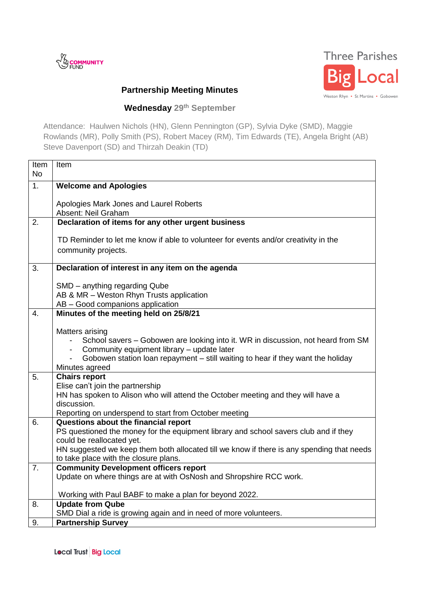



## **Partnership Meeting Minutes**

## **Wednesday 29 th September**

Attendance: Haulwen Nichols (HN), Glenn Pennington (GP), Sylvia Dyke (SMD), Maggie Rowlands (MR), Polly Smith (PS), Robert Macey (RM), Tim Edwards (TE), Angela Bright (AB) Steve Davenport (SD) and Thirzah Deakin (TD)

| Item<br><b>No</b> | Item                                                                                                |
|-------------------|-----------------------------------------------------------------------------------------------------|
| 1.                |                                                                                                     |
|                   | <b>Welcome and Apologies</b>                                                                        |
|                   | Apologies Mark Jones and Laurel Roberts                                                             |
|                   | Absent: Neil Graham                                                                                 |
| 2.                | Declaration of items for any other urgent business                                                  |
|                   | TD Reminder to let me know if able to volunteer for events and/or creativity in the                 |
|                   | community projects.                                                                                 |
| 3.                | Declaration of interest in any item on the agenda                                                   |
|                   |                                                                                                     |
|                   | SMD - anything regarding Qube                                                                       |
|                   | AB & MR - Weston Rhyn Trusts application                                                            |
|                   | AB - Good companions application                                                                    |
| 4.                | Minutes of the meeting held on 25/8/21                                                              |
|                   |                                                                                                     |
|                   | Matters arising<br>School savers - Gobowen are looking into it. WR in discussion, not heard from SM |
|                   | Community equipment library - update later<br>$\sim$                                                |
|                   | Gobowen station loan repayment – still waiting to hear if they want the holiday                     |
|                   | Minutes agreed                                                                                      |
| 5.                | <b>Chairs report</b>                                                                                |
|                   | Elise can't join the partnership                                                                    |
|                   | HN has spoken to Alison who will attend the October meeting and they will have a                    |
|                   | discussion.                                                                                         |
| 6.                | Reporting on underspend to start from October meeting<br>Questions about the financial report       |
|                   | PS questioned the money for the equipment library and school savers club and if they                |
|                   | could be reallocated yet.                                                                           |
|                   | HN suggested we keep them both allocated till we know if there is any spending that needs           |
|                   | to take place with the closure plans.                                                               |
| 7.                | <b>Community Development officers report</b>                                                        |
|                   | Update on where things are at with OsNosh and Shropshire RCC work.                                  |
|                   | Working with Paul BABF to make a plan for beyond 2022.                                              |
| 8.                | <b>Update from Qube</b>                                                                             |
|                   | SMD Dial a ride is growing again and in need of more volunteers.                                    |
| 9.                | <b>Partnership Survey</b>                                                                           |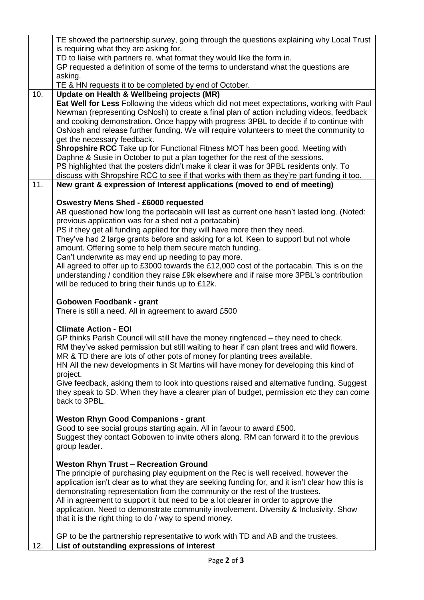|     | TE showed the partnership survey, going through the questions explaining why Local Trust                                                                                                                                                                                                                                                                                   |
|-----|----------------------------------------------------------------------------------------------------------------------------------------------------------------------------------------------------------------------------------------------------------------------------------------------------------------------------------------------------------------------------|
|     | is requiring what they are asking for.                                                                                                                                                                                                                                                                                                                                     |
|     | TD to liaise with partners re. what format they would like the form in.                                                                                                                                                                                                                                                                                                    |
|     | GP requested a definition of some of the terms to understand what the questions are<br>asking.                                                                                                                                                                                                                                                                             |
|     | TE & HN requests it to be completed by end of October.                                                                                                                                                                                                                                                                                                                     |
| 10. | Update on Health & Wellbeing projects (MR)                                                                                                                                                                                                                                                                                                                                 |
|     | Eat Well for Less Following the videos which did not meet expectations, working with Paul<br>Newman (representing OsNosh) to create a final plan of action including videos, feedback<br>and cooking demonstration. Once happy with progress 3PBL to decide if to continue with<br>OsNosh and release further funding. We will require volunteers to meet the community to |
|     | get the necessary feedback.                                                                                                                                                                                                                                                                                                                                                |
|     | <b>Shropshire RCC</b> Take up for Functional Fitness MOT has been good. Meeting with<br>Daphne & Susie in October to put a plan together for the rest of the sessions.                                                                                                                                                                                                     |
|     | PS highlighted that the posters didn't make it clear it was for 3PBL residents only. To                                                                                                                                                                                                                                                                                    |
|     | discuss with Shropshire RCC to see if that works with them as they're part funding it too.                                                                                                                                                                                                                                                                                 |
| 11. | New grant & expression of Interest applications (moved to end of meeting)                                                                                                                                                                                                                                                                                                  |
|     | <b>Oswestry Mens Shed - £6000 requested</b>                                                                                                                                                                                                                                                                                                                                |
|     | AB questioned how long the portacabin will last as current one hasn't lasted long. (Noted:                                                                                                                                                                                                                                                                                 |
|     | previous application was for a shed not a portacabin)                                                                                                                                                                                                                                                                                                                      |
|     | PS if they get all funding applied for they will have more then they need.                                                                                                                                                                                                                                                                                                 |
|     | They've had 2 large grants before and asking for a lot. Keen to support but not whole                                                                                                                                                                                                                                                                                      |
|     | amount. Offering some to help them secure match funding.                                                                                                                                                                                                                                                                                                                   |
|     | Can't underwrite as may end up needing to pay more.                                                                                                                                                                                                                                                                                                                        |
|     | All agreed to offer up to £3000 towards the £12,000 cost of the portacabin. This is on the                                                                                                                                                                                                                                                                                 |
|     | understanding / condition they raise £9k elsewhere and if raise more 3PBL's contribution                                                                                                                                                                                                                                                                                   |
|     | will be reduced to bring their funds up to £12k.                                                                                                                                                                                                                                                                                                                           |
|     |                                                                                                                                                                                                                                                                                                                                                                            |
|     | Gobowen Foodbank - grant<br>There is still a need. All in agreement to award £500                                                                                                                                                                                                                                                                                          |
|     |                                                                                                                                                                                                                                                                                                                                                                            |
|     | <b>Climate Action - EOI</b>                                                                                                                                                                                                                                                                                                                                                |
|     | GP thinks Parish Council will still have the money ringfenced – they need to check.                                                                                                                                                                                                                                                                                        |
|     | RM they've asked permission but still waiting to hear if can plant trees and wild flowers.                                                                                                                                                                                                                                                                                 |
|     | MR & TD there are lots of other pots of money for planting trees available.                                                                                                                                                                                                                                                                                                |
|     | HN All the new developments in St Martins will have money for developing this kind of                                                                                                                                                                                                                                                                                      |
|     | project.                                                                                                                                                                                                                                                                                                                                                                   |
|     | Give feedback, asking them to look into questions raised and alternative funding. Suggest<br>they speak to SD. When they have a clearer plan of budget, permission etc they can come                                                                                                                                                                                       |
|     | back to 3PBL.                                                                                                                                                                                                                                                                                                                                                              |
|     |                                                                                                                                                                                                                                                                                                                                                                            |
|     | <b>Weston Rhyn Good Companions - grant</b>                                                                                                                                                                                                                                                                                                                                 |
|     | Good to see social groups starting again. All in favour to award £500.                                                                                                                                                                                                                                                                                                     |
|     | Suggest they contact Gobowen to invite others along. RM can forward it to the previous                                                                                                                                                                                                                                                                                     |
|     | group leader.                                                                                                                                                                                                                                                                                                                                                              |
|     |                                                                                                                                                                                                                                                                                                                                                                            |
|     | <b>Weston Rhyn Trust - Recreation Ground</b>                                                                                                                                                                                                                                                                                                                               |
|     | The principle of purchasing play equipment on the Rec is well received, however the                                                                                                                                                                                                                                                                                        |
|     | application isn't clear as to what they are seeking funding for, and it isn't clear how this is<br>demonstrating representation from the community or the rest of the trustees.                                                                                                                                                                                            |
|     | All in agreement to support it but need to be a lot clearer in order to approve the                                                                                                                                                                                                                                                                                        |
|     | application. Need to demonstrate community involvement. Diversity & Inclusivity. Show                                                                                                                                                                                                                                                                                      |
|     | that it is the right thing to do / way to spend money.                                                                                                                                                                                                                                                                                                                     |
|     |                                                                                                                                                                                                                                                                                                                                                                            |
| 12. | GP to be the partnership representative to work with TD and AB and the trustees.<br>List of outstanding expressions of interest                                                                                                                                                                                                                                            |